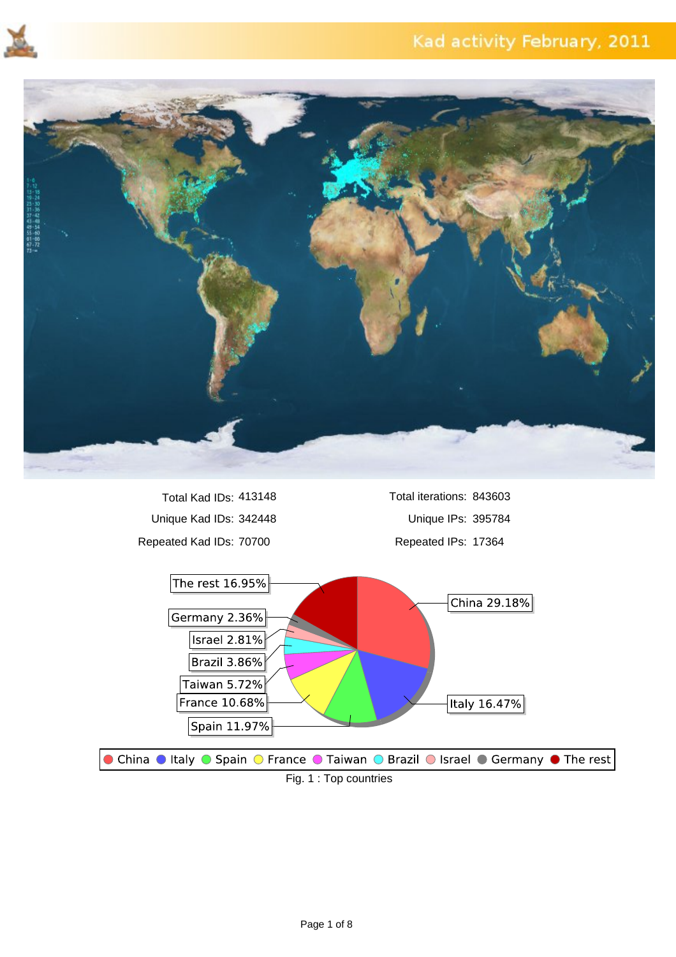



Unique Kad IDs: 342448 Unique IPs: 395784 Repeated Kad IDs: 70700 Repeated IPs: 17364 Total Kad IDs: 413148

Total iterations: 843603

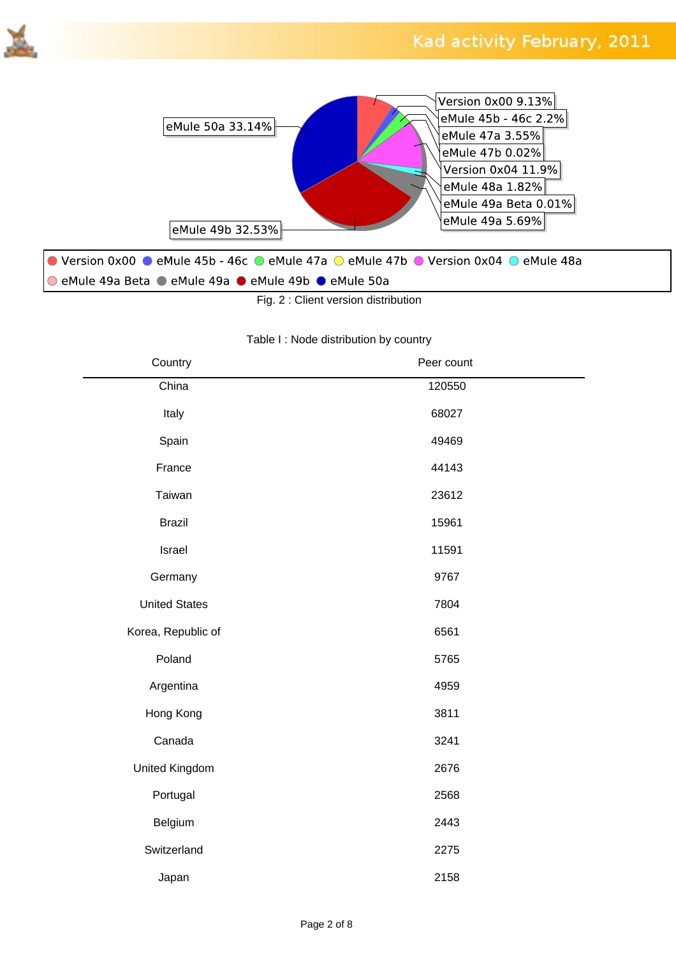



Fig. 2 : Client version distribution

#### Table I : Node distribution by country

| Country              | Peer count |  |
|----------------------|------------|--|
| China                | 120550     |  |
| Italy                | 68027      |  |
| Spain                | 49469      |  |
| France               | 44143      |  |
| Taiwan               | 23612      |  |
| <b>Brazil</b>        | 15961      |  |
| Israel               | 11591      |  |
| Germany              | 9767       |  |
| <b>United States</b> | 7804       |  |
| Korea, Republic of   | 6561       |  |
| Poland               | 5765       |  |
| Argentina            | 4959       |  |
| Hong Kong            | 3811       |  |
| Canada               | 3241       |  |
| United Kingdom       | 2676       |  |
| Portugal             | 2568       |  |
| Belgium              | 2443       |  |
| Switzerland          | 2275       |  |
| Japan                | 2158       |  |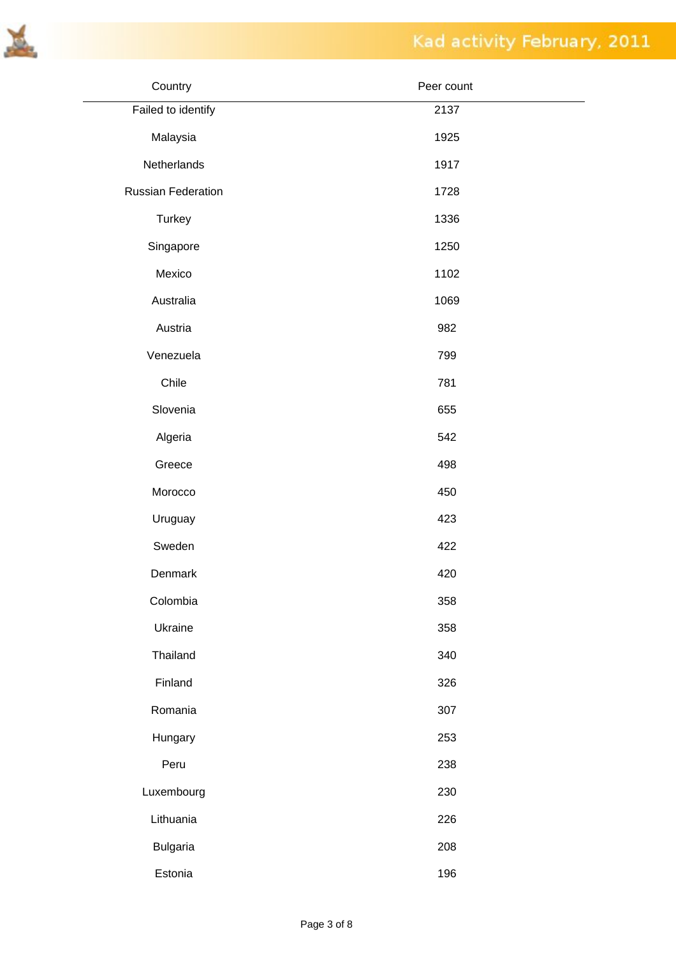

| Country                   | Peer count |
|---------------------------|------------|
| Failed to identify        | 2137       |
| Malaysia                  | 1925       |
| Netherlands               | 1917       |
| <b>Russian Federation</b> | 1728       |
| <b>Turkey</b>             | 1336       |
| Singapore                 | 1250       |
| Mexico                    | 1102       |
| Australia                 | 1069       |
| Austria                   | 982        |
| Venezuela                 | 799        |
| Chile                     | 781        |
| Slovenia                  | 655        |
| Algeria                   | 542        |
| Greece                    | 498        |
| Morocco                   | 450        |
| Uruguay                   | 423        |
| Sweden                    | 422        |
| Denmark                   | 420        |
| Colombia                  | 358        |
| Ukraine                   | 358        |
| Thailand                  | 340        |
| Finland                   | 326        |
| Romania                   | 307        |
| Hungary                   | 253        |
| Peru                      | 238        |
| Luxembourg                | 230        |
| Lithuania                 | 226        |
| <b>Bulgaria</b>           | 208        |
| Estonia                   | 196        |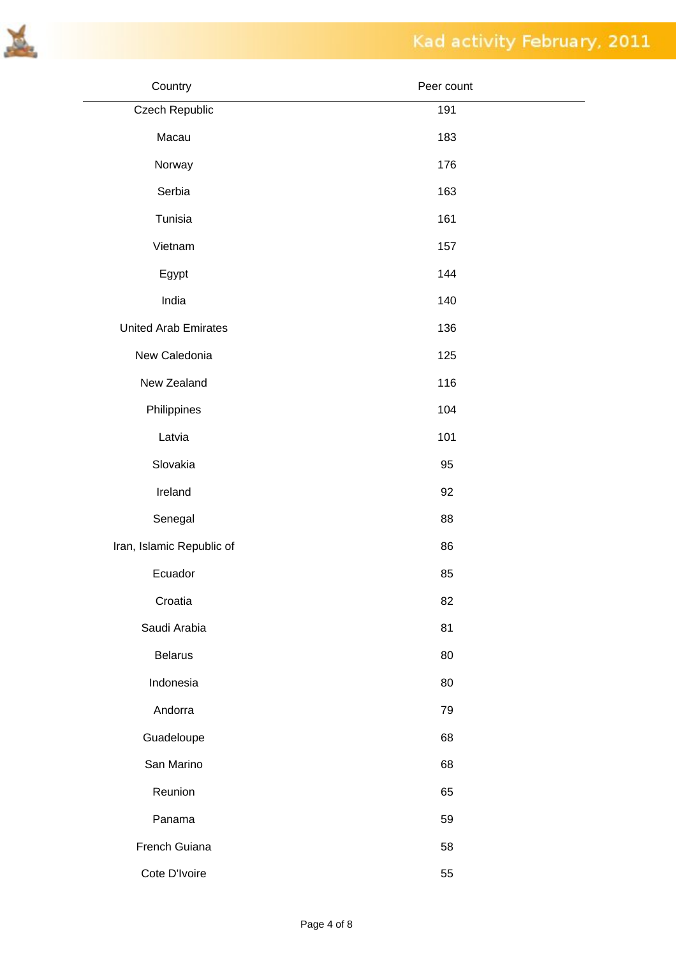

| Country                     | Peer count |  |
|-----------------------------|------------|--|
| Czech Republic              | 191        |  |
| Macau                       | 183        |  |
| Norway                      | 176        |  |
| Serbia                      | 163        |  |
| Tunisia                     | 161        |  |
| Vietnam                     | 157        |  |
| Egypt                       | 144        |  |
| India                       | 140        |  |
| <b>United Arab Emirates</b> | 136        |  |
| New Caledonia               | 125        |  |
| New Zealand                 | 116        |  |
| Philippines                 | 104        |  |
| Latvia                      | 101        |  |
| Slovakia                    | 95         |  |
| Ireland                     | 92         |  |
| Senegal                     | 88         |  |
| Iran, Islamic Republic of   | 86         |  |
| Ecuador                     | 85         |  |
| Croatia                     | 82         |  |
| Saudi Arabia                | 81         |  |
| <b>Belarus</b>              | 80         |  |
| Indonesia                   | 80         |  |
| Andorra                     | 79         |  |
| Guadeloupe                  | 68         |  |
| San Marino                  | 68         |  |
| Reunion                     | 65         |  |
| Panama                      | 59         |  |
| French Guiana               | 58         |  |
| Cote D'Ivoire               | 55         |  |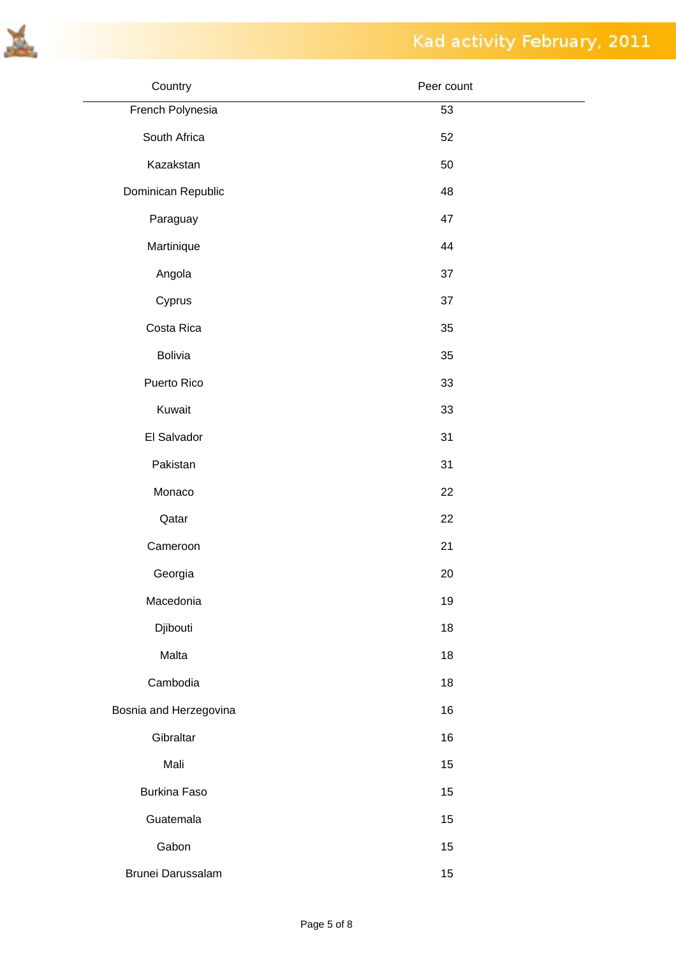

| Country                | Peer count |
|------------------------|------------|
| French Polynesia       | 53         |
| South Africa           | 52         |
| Kazakstan              | 50         |
| Dominican Republic     | 48         |
| Paraguay               | 47         |
| Martinique             | 44         |
| Angola                 | 37         |
| Cyprus                 | 37         |
| Costa Rica             | 35         |
| <b>Bolivia</b>         | 35         |
| Puerto Rico            | 33         |
| Kuwait                 | 33         |
| El Salvador            | 31         |
| Pakistan               | 31         |
| Monaco                 | 22         |
| Qatar                  | 22         |
| Cameroon               | 21         |
| Georgia                | 20         |
| Macedonia              | 19         |
| Djibouti               | 18         |
| Malta                  | 18         |
| Cambodia               | 18         |
| Bosnia and Herzegovina | 16         |
| Gibraltar              | 16         |
| Mali                   | 15         |
| <b>Burkina Faso</b>    | 15         |
| Guatemala              | 15         |
| Gabon                  | 15         |
| Brunei Darussalam      | 15         |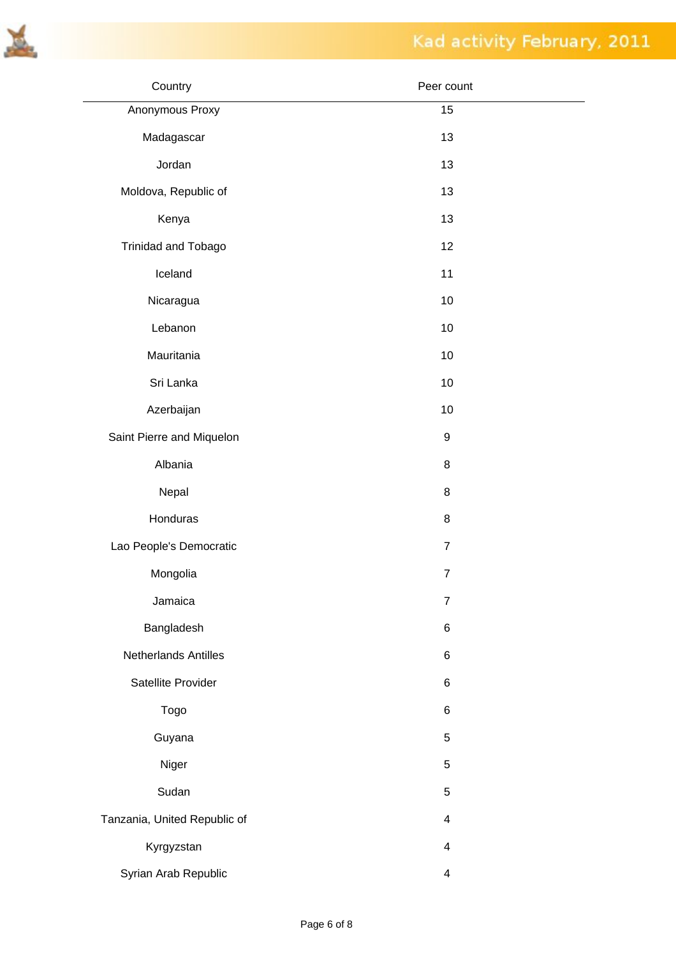

| Country                      | Peer count     |
|------------------------------|----------------|
| Anonymous Proxy              | 15             |
| Madagascar                   | 13             |
| Jordan                       | 13             |
| Moldova, Republic of         | 13             |
| Kenya                        | 13             |
| Trinidad and Tobago          | 12             |
| Iceland                      | 11             |
| Nicaragua                    | 10             |
| Lebanon                      | 10             |
| Mauritania                   | 10             |
| Sri Lanka                    | 10             |
| Azerbaijan                   | 10             |
| Saint Pierre and Miquelon    | 9              |
| Albania                      | 8              |
| Nepal                        | 8              |
| Honduras                     | 8              |
| Lao People's Democratic      | $\overline{7}$ |
| Mongolia                     | $\overline{7}$ |
| Jamaica                      | $\overline{7}$ |
| Bangladesh                   | 6              |
| Netherlands Antilles         | 6              |
| Satellite Provider           | 6              |
| Togo                         | 6              |
| Guyana                       | 5              |
| Niger                        | 5              |
| Sudan                        | 5              |
| Tanzania, United Republic of | 4              |
| Kyrgyzstan                   | 4              |
| Syrian Arab Republic         | 4              |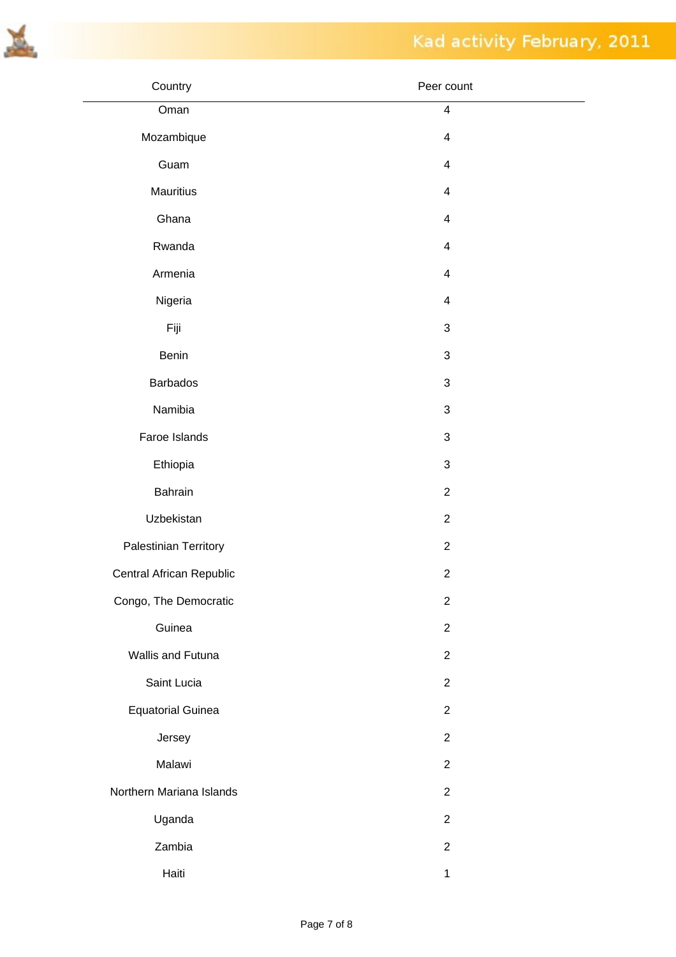



| Country                  | Peer count              |
|--------------------------|-------------------------|
| Oman                     | $\overline{\mathbf{4}}$ |
| Mozambique               | $\overline{\mathbf{4}}$ |
| Guam                     | $\overline{\mathbf{4}}$ |
| Mauritius                | $\overline{\mathbf{4}}$ |
| Ghana                    | $\overline{\mathbf{4}}$ |
| Rwanda                   | $\overline{\mathbf{4}}$ |
| Armenia                  | $\overline{\mathbf{4}}$ |
| Nigeria                  | $\overline{\mathbf{4}}$ |
| Fiji                     | $\sqrt{3}$              |
| Benin                    | $\sqrt{3}$              |
| <b>Barbados</b>          | $\sqrt{3}$              |
| Namibia                  | $\sqrt{3}$              |
| Faroe Islands            | $\sqrt{3}$              |
| Ethiopia                 | $\sqrt{3}$              |
| Bahrain                  | $\sqrt{2}$              |
| Uzbekistan               | $\overline{2}$          |
| Palestinian Territory    | $\sqrt{2}$              |
| Central African Republic | $\overline{c}$          |
| Congo, The Democratic    | $\overline{c}$          |
| Guinea                   | $\overline{2}$          |
| Wallis and Futuna        | $\overline{2}$          |
| Saint Lucia              | $\overline{2}$          |
| <b>Equatorial Guinea</b> | $\overline{2}$          |
| Jersey                   | $\overline{2}$          |
| Malawi                   | $\overline{2}$          |
| Northern Mariana Islands | $\overline{2}$          |
| Uganda                   | $\overline{2}$          |
| Zambia                   | $\overline{2}$          |
| Haiti                    | $\mathbf 1$             |